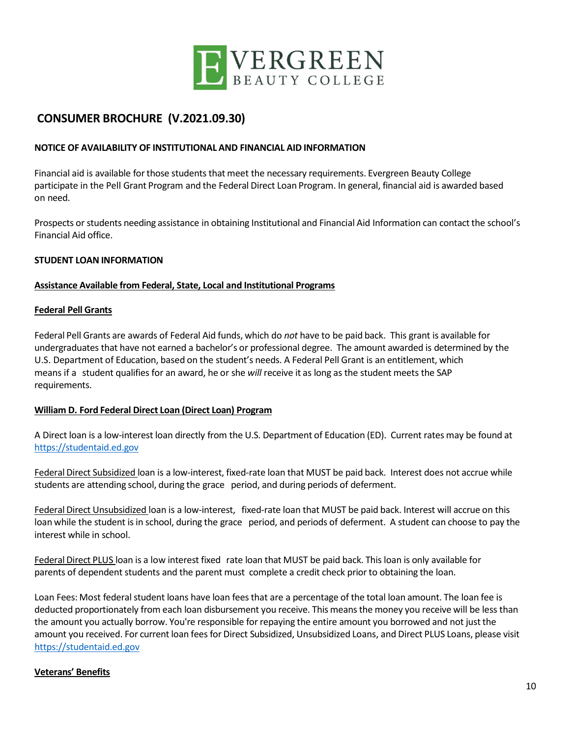

# **CONSUMER BROCHURE (V.2021.09.30)**

### **NOTICE OF AVAILABILITY OF INSTITUTIONAL AND FINANCIAL AID INFORMATION**

Financial aid is available forthose students that meet the necessary requirements. Evergreen Beauty College participate in the Pell Grant Program and the Federal Direct Loan Program. In general, financial aid is awarded based on need.

Prospects or students needing assistance in obtaining Institutional and Financial Aid Information can contact the school's Financial Aid office.

### **STUDENT LOAN INFORMATION**

### **Assistance Available from Federal, State, Local and Institutional Programs**

### **Federal Pell Grants**

Federal Pell Grants are awards of Federal Aid funds, which do *not* have to be paid back. This grant is available for undergraduates that have not earned a bachelor's or professional degree. The amount awarded is determined by the U.S. Department of Education, based on the student's needs. A Federal Pell Grant is an entitlement, which means if a student qualifies for an award, he or she *will* receive it as long as the student meets the SAP requirements.

### **William D. Ford Federal Direct Loan (Direct Loan) Program**

A Direct loan is a low-interest loan directly from the U.S. Department of Education (ED). Current rates may be found at [https://studentaid.ed.gov](https://studentaid.ed.gov/)

Federal Direct Subsidized loan is a low-interest, fixed-rate loan that MUST be paid back. Interest does not accrue while students are attending school, during the grace period, and during periods of deferment.

Federal Direct Unsubsidized loan is a low-interest, fixed-rate loan that MUST be paid back. Interest will accrue on this loan while the student is in school, during the grace period, and periods of deferment. A student can choose to pay the interest while in school.

Federal Direct PLUS loan is a low interest fixed rate loan that MUST be paid back. This loan is only available for parents of dependent students and the parent must complete a credit check prior to obtaining the loan.

Loan Fees: Most federal student loans have loan fees that are a percentage of the total loan amount. The loan fee is deducted proportionately from each loan disbursement you receive. This meansthe money you receive will be less than the amount you actually borrow. You're responsible forrepaying the entire amount you borrowed and not just the amount you received. For current loan fees for Direct Subsidized, Unsubsidized Loans, and Direct PLUS Loans, please visit [https://studentaid.ed.gov](https://studentaid.ed.gov/)

### **Veterans' Benefits**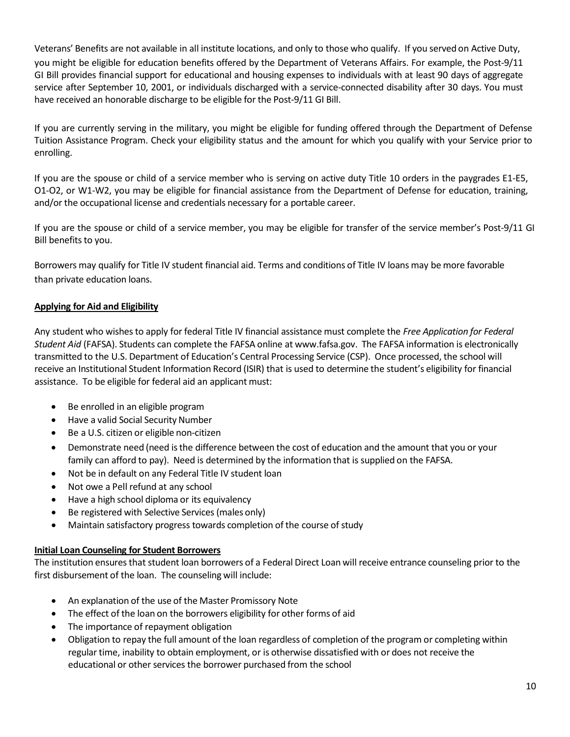Veterans' Benefits are not available in all institute locations, and only to those who qualify. If you served on Active Duty, you might be eligible for education benefits offered by the Department of Veterans Affairs. For example, the Post-9/11 GI Bill provides financial support for educational and housing expenses to individuals with at least 90 days of aggregate service after September 10, 2001, or individuals discharged with a service-connected disability after 30 days. You must have received an honorable discharge to be eligible for the Post-9/11 GI Bill.

If you are currently serving in the military, you might be eligible for funding offered through the Department of Defense Tuition Assistance Program. Check your eligibility status and the amount for which you qualify with your Service prior to enrolling.

If you are the spouse or child of a service member who is serving on active duty Title 10 orders in the paygrades E1-E5, O1-O2, or W1-W2, you may be eligible for financial assistance from the Department of Defense for education, training, and/or the occupational license and credentials necessary for a portable career.

If you are the spouse or child of a service member, you may be eligible for transfer of the service member's Post-9/11 GI Bill benefits to you.

Borrowers may qualify for Title IV student financial aid. Terms and conditions of Title IV loans may be more favorable than private education loans.

## **Applying for Aid and Eligibility**

Any student who wishesto apply for federal Title IV financial assistance must complete the *Free Application for Federal Student Aid* (FAFSA). Students can complete the FAFSA online at [www.fafsa.gov.](http://www.fafsa.gov/) The FAFSA information is electronically transmitted to the U.S. Department of Education's Central Processing Service (CSP). Once processed, the school will receive an Institutional Student Information Record (ISIR) that is used to determine the student's eligibility for financial assistance. To be eligible for federal aid an applicant must:

- Be enrolled in an eligible program
- Have a valid Social Security Number
- Be a U.S. citizen or eligible non-citizen
- Demonstrate need (need isthe difference between the cost of education and the amount that you or your family can afford to pay). Need is determined by the information that is supplied on the FAFSA.
- Not be in default on any Federal Title IV student loan
- Not owe a Pell refund at any school
- Have a high school diploma or its equivalency
- Be registered with Selective Services (males only)
- Maintain satisfactory progress towards completion of the course of study

### **Initial Loan Counseling for Student Borrowers**

The institution ensuresthat student loan borrowers of a Federal Direct Loan will receive entrance counseling prior to the first disbursement of the loan. The counseling will include:

- An explanation of the use of the Master Promissory Note
- The effect of the loan on the borrowers eligibility for other forms of aid
- The importance of repayment obligation
- Obligation to repay the full amount of the loan regardless of completion of the program or completing within regular time, inability to obtain employment, or is otherwise dissatisfied with or does not receive the educational or other services the borrower purchased from the school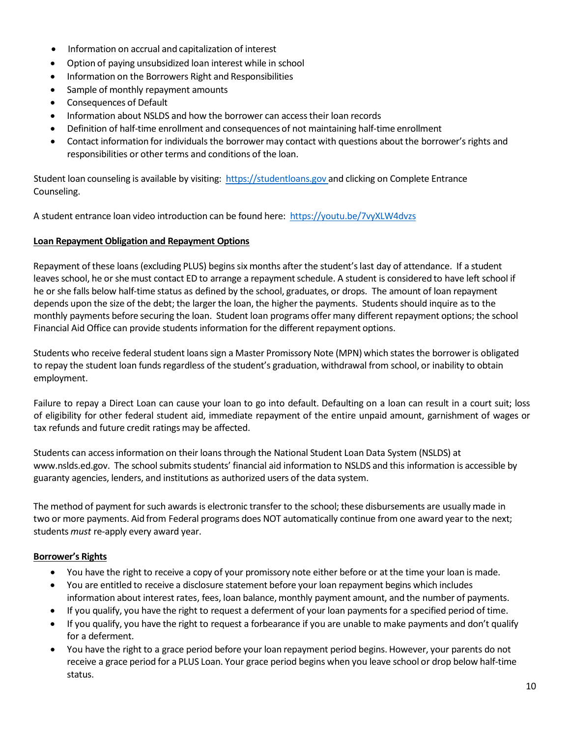- Information on accrual and capitalization of interest
- Option of paying unsubsidized loan interest while in school
- Information on the Borrowers Right and Responsibilities
- Sample of monthly repayment amounts
- Consequences of Default
- Information about NSLDS and how the borrower can accesstheir loan records
- Definition of half-time enrollment and consequences of not maintaining half-time enrollment
- Contact information for individuals the borrower may contact with questions aboutthe borrower's rights and responsibilities or other terms and conditions of the loan.

Student loan counseling is available by visiting: [https://studentloans.gov a](https://studentloans.gov/)nd clicking on Complete Entrance Counseling.

A student entrance loan video introduction can be found here: <https://youtu.be/7vyXLW4dvzs>

### **Loan Repayment Obligation and Repayment Options**

Repayment of these loans (excluding PLUS) begins six months after the student's last day of attendance. If a student leaves school, he or she must contact ED to arrange a repayment schedule. A student is considered to have left school if he or she falls below half-time status as defined by the school, graduates, or drops. The amount of loan repayment depends upon the size of the debt; the larger the loan, the higher the payments. Students should inquire as to the monthly payments before securing the loan. Student loan programs offer many different repayment options; the school Financial Aid Office can provide students information for the different repayment options.

Students who receive federal student loans sign a Master Promissory Note (MPN) which states the borrower is obligated to repay the student loan fundsregardless of the student's graduation, withdrawal from school, or inability to obtain employment.

Failure to repay a Direct Loan can cause your loan to go into default. Defaulting on a loan can result in a court suit; loss of eligibility for other federal student aid, immediate repayment of the entire unpaid amount, garnishment of wages or tax refunds and future credit ratings may be affected.

Students can accessinformation on their loansthrough the National Student Loan Data System (NSLDS) at [www.nslds.ed.gov.](http://www.nslds.ed.gov/) The school submits students' financial aid information to NSLDS and this information is accessible by guaranty agencies, lenders, and institutions as authorized users of the data system.

The method of payment for such awards is electronic transfer to the school; these disbursements are usually made in two or more payments. Aid from Federal programs does NOT automatically continue from one award year to the next; students *must* re-apply every award year.

## **Borrower's Rights**

- You have the right to receive a copy of your promissory note either before or at the time your loan is made.
- You are entitled to receive a disclosure statement before your loan repayment begins which includes information about interest rates, fees, loan balance, monthly payment amount, and the number of payments.
- If you qualify, you have the right to request a deferment of your loan payments for a specified period of time.
- If you qualify, you have the right to request a forbearance if you are unable to make payments and don't qualify for a deferment.
- You have the right to a grace period before your loan repayment period begins. However, your parents do not receive a grace period for a PLUS Loan. Your grace period begins when you leave school or drop below half-time status.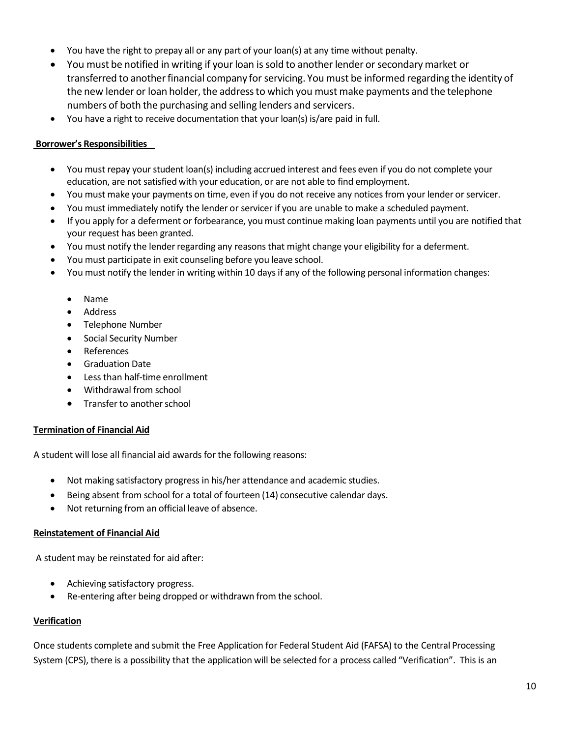- You have the right to prepay all or any part of your loan(s) at any time without penalty.
- You must be notified in writing if your loan is sold to another lender or secondarymarket or transferred to another financial company for servicing. You must be informed regarding the identity of the new lender or loan holder, the address to which you must make payments and the telephone numbers of both the purchasing and selling lenders and servicers.
- You have a right to receive documentation that your loan(s) is/are paid in full.

### **Borrower's Responsibilities**

- You must repay yourstudent loan(s) including accrued interest and fees even if you do not complete your education, are not satisfied with your education, or are not able to find employment.
- You must make your payments on time, even if you do not receive any notices from your lender or servicer.
- You must immediately notify the lender or servicer if you are unable to make a scheduled payment.
- If you apply for a deferment or forbearance, youmust continue making loan payments until you are notified that your request has been granted.
- You must notify the lender regarding any reasons that might change your eligibility for a deferment.
- You must participate in exit counseling before you leave school.
- You must notify the lender in writing within 10 days if any of the following personal information changes:
	- Name
	- Address
	- Telephone Number
	- Social Security Number
	- References
	- Graduation Date
	- Less than half-time enrollment
	- Withdrawal from school
	- Transfer to another school

### **Termination of Financial Aid**

A student will lose all financial aid awards for the following reasons:

- Not making satisfactory progress in his/her attendance and academic studies.
- Being absent from school for a total of fourteen (14) consecutive calendar days.
- Not returning from an official leave of absence.

### **Reinstatement of Financial Aid**

A student may be reinstated for aid after:

- Achieving satisfactory progress.
- Re-entering after being dropped or withdrawn from the school.

### **Verification**

Once students complete and submit the Free Application for Federal Student Aid (FAFSA) to the Central Processing System (CPS), there is a possibility that the application will be selected for a process called "Verification". This is an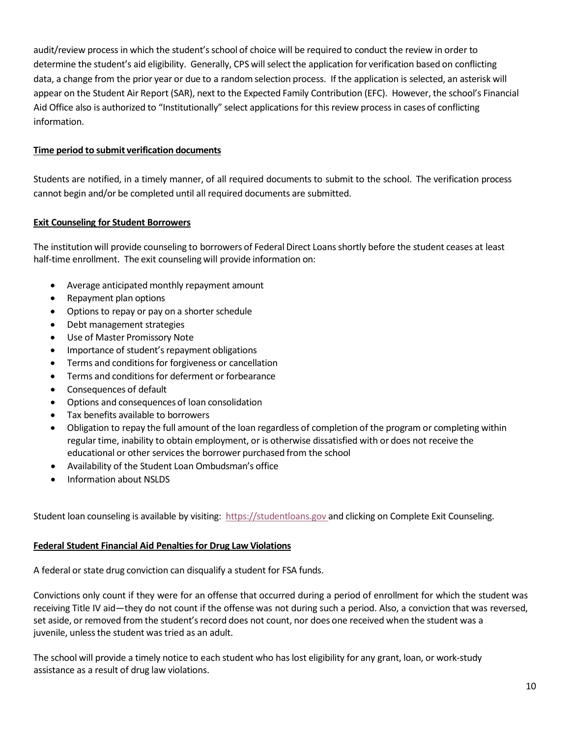audit/review process in which the student'sschool of choice will be required to conduct the review in order to determine the student's aid eligibility. Generally, CPS will select the application for verification based on conflicting data, a change from the prior year or due to a randomselection process. If the application is selected, an asterisk will appear on the Student Air Report (SAR), next to the Expected Family Contribution (EFC). However, the school's Financial Aid Office also is authorized to "Institutionally" select applications for this review process in cases of conflicting information.

### **Time period to submit verification documents**

Students are notified, in a timely manner, of all required documents to submit to the school. The verification process cannot begin and/or be completed until all required documents are submitted.

### **Exit Counseling for Student Borrowers**

The institution will provide counseling to borrowers of Federal Direct Loansshortly before the student ceases at least half-time enrollment. The exit counseling will provide information on:

- Average anticipated monthly repayment amount
- Repayment plan options
- Options to repay or pay on a shorter schedule
- Debt management strategies
- Use of Master Promissory Note
- Importance of student's repayment obligations
- Terms and conditions for forgiveness or cancellation
- Terms and conditions for deferment or forbearance
- Consequences of default
- Options and consequences of loan consolidation
- Tax benefits available to borrowers
- Obligation to repay the full amount of the loan regardless of completion of the program or completing within regular time, inability to obtain employment, or is otherwise dissatisfied with or does not receive the educational or other services the borrower purchased from the school
- Availability of the Student Loan Ombudsman's office
- Information about NSLDS

Student loan counseling is available by visiting: [https://studentloans.gov](https://studentloans.gov/) and clicking on Complete Exit Counseling.

### **Federal Student Financial Aid Penaltiesfor Drug Law Violations**

A federal or state drug conviction can disqualify a student for FSA funds.

Convictions only count if they were for an offense that occurred during a period of enrollment for which the student was receiving Title IV aid—they do not count if the offense was not during such a period. Also, a conviction that was reversed, set aside, or removed from the student's record does not count, nor does one received when the student was a juvenile, unlessthe student was tried as an adult.

The school will provide a timely notice to each student who has lost eligibility for any grant, loan, or work-study assistance as a result of drug law violations.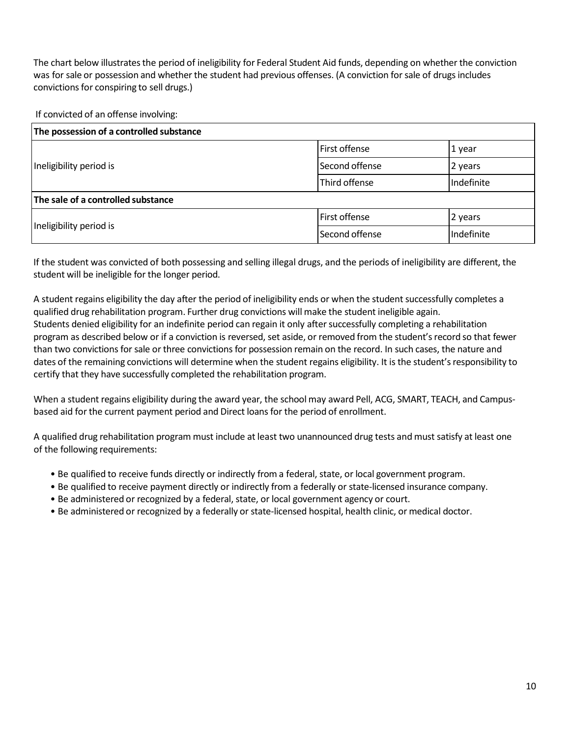The chart below illustrates the period of ineligibility for Federal Student Aid funds, depending on whether the conviction was for sale or possession and whether the student had previous offenses. (A conviction for sale of drugs includes convictions for conspiring to sell drugs.)

If convicted of an offense involving:

| The possession of a controlled substance |                      |            |
|------------------------------------------|----------------------|------------|
| Ineligibility period is                  | <b>First offense</b> | 1 year     |
|                                          | Second offense       | 2 years    |
|                                          | Third offense        | Indefinite |
| The sale of a controlled substance       |                      |            |
| Ineligibility period is                  | <b>First offense</b> | 2 years    |
|                                          | Second offense       | Indefinite |

If the student was convicted of both possessing and selling illegal drugs, and the periods of ineligibility are different, the student will be ineligible for the longer period.

A student regains eligibility the day after the period of ineligibility ends or when the student successfully completes a qualified drug rehabilitation program. Further drug convictions will make the student ineligible again. Students denied eligibility for an indefinite period can regain it only aftersuccessfully completing a rehabilitation program as described below or if a conviction is reversed, set aside, or removed from the student's record so that fewer than two convictions forsale or three convictions for possession remain on the record. In such cases, the nature and dates of the remaining convictions will determine when the student regains eligibility. It is the student'sresponsibility to certify that they have successfully completed the rehabilitation program.

When a student regains eligibility during the award year, the school may award Pell, ACG, SMART, TEACH, and Campusbased aid forthe current payment period and Direct loans for the period of enrollment.

A qualified drug rehabilitation program must include at least two unannounced drug tests and must satisfy at least one of the following requirements:

- Be qualified to receive funds directly or indirectly from a federal, state, or local government program.
- Be qualified to receive payment directly or indirectly from a federally or state-licensed insurance company.
- Be administered or recognized by a federal, state, or local government agency or court.
- Be administered or recognized by a federally or state-licensed hospital, health clinic, or medical doctor.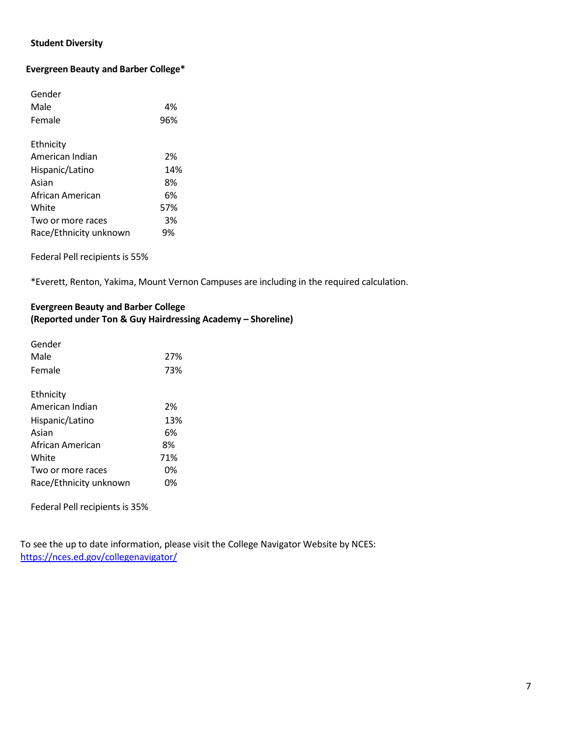# **Student Diversity**

### **Evergreen Beauty and Barber College\***

| Gender                 |     |
|------------------------|-----|
| Male                   | 4%  |
| Female                 | 96% |
|                        |     |
| Ethnicity              |     |
| American Indian        | 2%  |
| Hispanic/Latino        | 14% |
| Asian                  | 8%  |
| African American       | 6%  |
| White                  | 57% |
| Two or more races      | 3%  |
| Race/Ethnicity unknown | 9%  |

Federal Pell recipients is 55%

\*Everett, Renton, Yakima, Mount Vernon Campuses are including in the required calculation.

### **Evergreen Beauty and Barber College (Reported under Ton & Guy Hairdressing Academy – Shoreline)**

| Gender                 |     |
|------------------------|-----|
| Male                   | 27% |
| Female                 | 73% |
|                        |     |
| Ethnicity              |     |
| American Indian        | 2%  |
| Hispanic/Latino        | 13% |
| Asian                  | 6%  |
| African American       | 8%  |
| White                  | 71% |
| Two or more races      | 0%  |
| Race/Ethnicity unknown | 0%  |

Federal Pell recipients is 35%

To see the up to date information, please visit the College Navigator Website by NCES: <https://nces.ed.gov/collegenavigator/>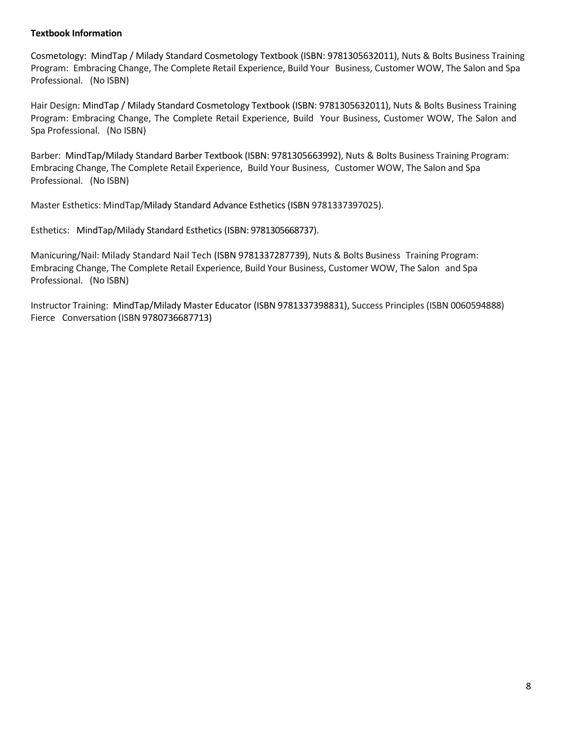### **Textbook Information**

Cosmetology: MindTap / Milady Standard Cosmetology Textbook (ISBN: 9781305632011), Nuts & Bolts Business Training Program: Embracing Change, The Complete Retail Experience, Build Your Business, Customer WOW, The Salon and Spa Professional. (No ISBN)

Hair Design: MindTap / Milady Standard Cosmetology Textbook (ISBN: 9781305632011), Nuts & Bolts Business Training Program: Embracing Change, The Complete Retail Experience, Build Your Business, Customer WOW, The Salon and Spa Professional. (No ISBN)

Barber: MindTap/Milady Standard Barber Textbook (ISBN: 9781305663992), Nuts & Bolts Business Training Program: Embracing Change, The Complete Retail Experience, Build Your Business, Customer WOW, The Salon and Spa Professional. (No ISBN)

Master Esthetics: MindTap/Milady Standard Advance Esthetics (ISBN 9781337397025).

Esthetics: MindTap/Milady Standard Esthetics (ISBN: 9781305668737).

Manicuring/Nail: Milady Standard Nail Tech (ISBN 9781337287739), Nuts & Bolts Business Training Program: Embracing Change, The Complete Retail Experience, Build Your Business, Customer WOW, The Salon and Spa Professional. (No ISBN)

Instructor Training: MindTap/Milady Master Educator (ISBN 9781337398831), Success Principles (ISBN 0060594888) Fierce Conversation (ISBN 9780736687713)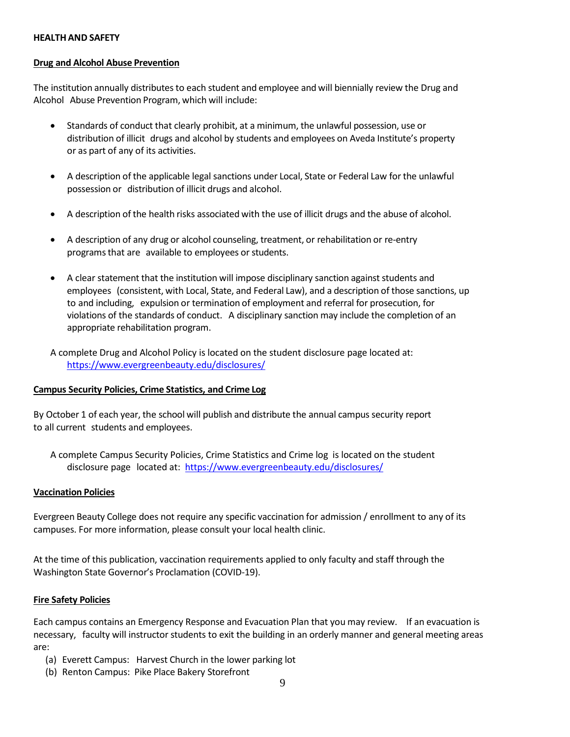#### **HEALTHAND SAFETY**

#### **Drug and Alcohol Abuse Prevention**

The institution annually distributes to each student and employee and will biennially review the Drug and Alcohol Abuse Prevention Program, which will include:

- Standards of conduct that clearly prohibit, at a minimum, the unlawful possession, use or distribution of illicit drugs and alcohol by students and employees on Aveda Institute's property or as part of any of its activities.
- A description of the applicable legal sanctions under Local, State or Federal Law for the unlawful possession or distribution of illicit drugs and alcohol.
- A description of the health risks associated with the use of illicit drugs and the abuse of alcohol.
- A description of any drug or alcohol counseling, treatment, or rehabilitation or re-entry programs that are available to employees or students.
- $\bullet$  A clear statement that the institution will impose disciplinary sanction against students and employees (consistent, with Local, State, and Federal Law), and a description of those sanctions, up to and including, expulsion or termination of employment and referral for prosecution, for violations of the standards of conduct. A disciplinary sanction may include the completion of an appropriate rehabilitation program.

A complete Drug and Alcohol Policy is located on the student disclosure page located at: <https://www.evergreenbeauty.edu/disclosures/>

### **Campus Security Policies, Crime Statistics, and Crime Log**

By October 1 of each year, the school will publish and distribute the annual campus security report to all current students and employees.

A complete Campus Security Policies, Crime Statistics and Crime log is located on the student disclosure page located at: <https://www.evergreenbeauty.edu/disclosures/>

### **Vaccination Policies**

Evergreen Beauty College does not require any specific vaccination for admission / enrollment to any of its campuses. For more information, please consult your local health clinic.

At the time of this publication, vaccination requirements applied to only faculty and staff through the Washington State Governor's Proclamation (COVID-19).

### **Fire Safety Policies**

Each campus contains an Emergency Response and Evacuation Plan that you may review. If an evacuation is necessary, faculty will instructor students to exit the building in an orderly manner and general meeting areas are:

- (a) Everett Campus: Harvest Church in the lower parking lot
- (b) Renton Campus: Pike Place Bakery Storefront